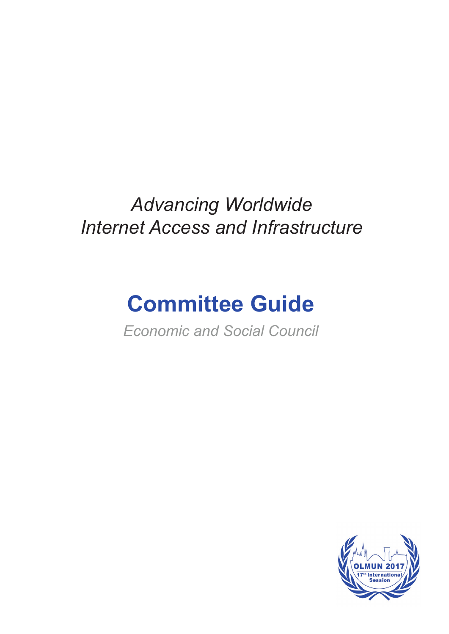## *Advancing Worldwide Internet Access and Infrastructure*

# **Committee Guide**

*Economic and Social Council* 

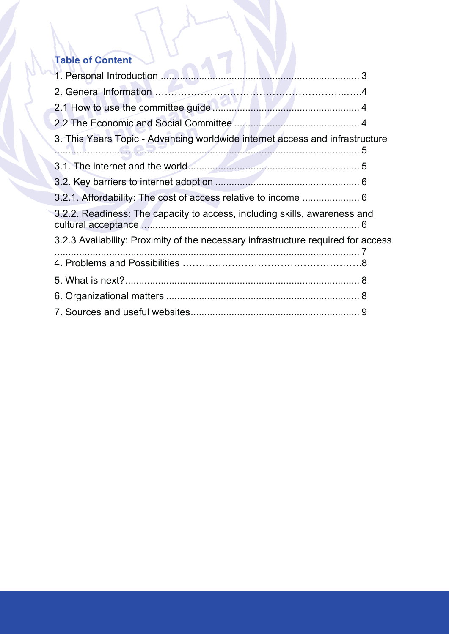## **Table of Content**

| 3. This Years Topic - Advancing worldwide internet access and infrastructure      |  |
|-----------------------------------------------------------------------------------|--|
|                                                                                   |  |
|                                                                                   |  |
| 3.2.1. Affordability: The cost of access relative to income  6                    |  |
| 3.2.2. Readiness: The capacity to access, including skills, awareness and         |  |
| 3.2.3 Availability: Proximity of the necessary infrastructure required for access |  |
|                                                                                   |  |
|                                                                                   |  |
|                                                                                   |  |
|                                                                                   |  |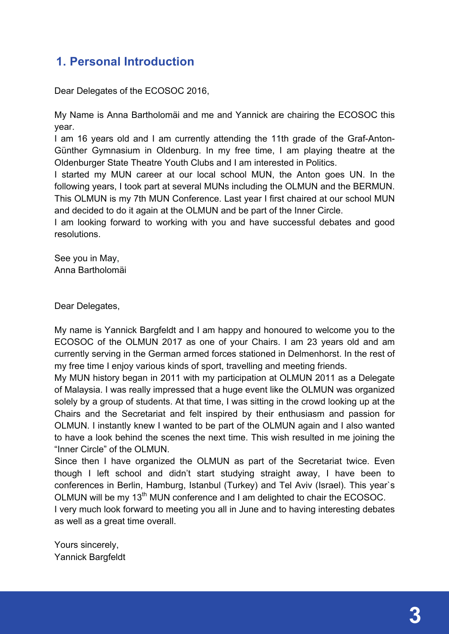## **1. Personal Introduction**

Dear Delegates of the ECOSOC 2016,

My Name is Anna Bartholomäi and me and Yannick are chairing the ECOSOC this year.

I am 16 years old and I am currently attending the 11th grade of the Graf-Anton-Günther Gymnasium in Oldenburg. In my free time, I am playing theatre at the Oldenburger State Theatre Youth Clubs and I am interested in Politics.

I started my MUN career at our local school MUN, the Anton goes UN. In the following years, I took part at several MUNs including the OLMUN and the BERMUN. This OLMUN is my 7th MUN Conference. Last year I first chaired at our school MUN and decided to do it again at the OLMUN and be part of the Inner Circle.

I am looking forward to working with you and have successful debates and good resolutions.

See you in May, Anna Bartholomäi

Dear Delegates,

My name is Yannick Bargfeldt and I am happy and honoured to welcome you to the ECOSOC of the OLMUN 2017 as one of your Chairs. I am 23 years old and am currently serving in the German armed forces stationed in Delmenhorst. In the rest of my free time I enjoy various kinds of sport, travelling and meeting friends.

My MUN history began in 2011 with my participation at OLMUN 2011 as a Delegate of Malaysia. I was really impressed that a huge event like the OLMUN was organized solely by a group of students. At that time, I was sitting in the crowd looking up at the Chairs and the Secretariat and felt inspired by their enthusiasm and passion for OLMUN. I instantly knew I wanted to be part of the OLMUN again and I also wanted to have a look behind the scenes the next time. This wish resulted in me joining the "Inner Circle" of the OLMUN.

Since then I have organized the OLMUN as part of the Secretariat twice. Even though I left school and didn't start studying straight away, I have been to conferences in Berlin, Hamburg, Istanbul (Turkey) and Tel Aviv (Israel). This year`s OLMUN will be my 13<sup>th</sup> MUN conference and I am delighted to chair the ECOSOC.

I very much look forward to meeting you all in June and to having interesting debates as well as a great time overall.

Yours sincerely, Yannick Bargfeldt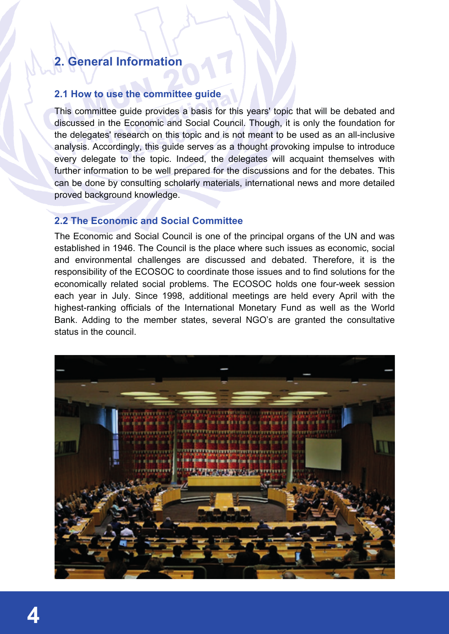## **2. General Information**

#### **2.1 How to use the committee guide**

This committee guide provides a basis for this years' topic that will be debated and discussed in the Economic and Social Council. Though, it is only the foundation for the delegates' research on this topic and is not meant to be used as an all-inclusive analysis. Accordingly, this guide serves as a thought provoking impulse to introduce every delegate to the topic. Indeed, the delegates will acquaint themselves with further information to be well prepared for the discussions and for the debates. This can be done by consulting scholarly materials, international news and more detailed proved background knowledge.

#### **2.2 The Economic and Social Committee**

The Economic and Social Council is one of the principal organs of the UN and was established in 1946. The Council is the place where such issues as economic, social and environmental challenges are discussed and debated. Therefore, it is the responsibility of the ECOSOC to coordinate those issues and to find solutions for the economically related social problems. The ECOSOC holds one four-week session each year in July. Since 1998, additional meetings are held every April with the highest-ranking officials of the International Monetary Fund as well as the World Bank. Adding to the member states, several NGO's are granted the consultative status in the council.

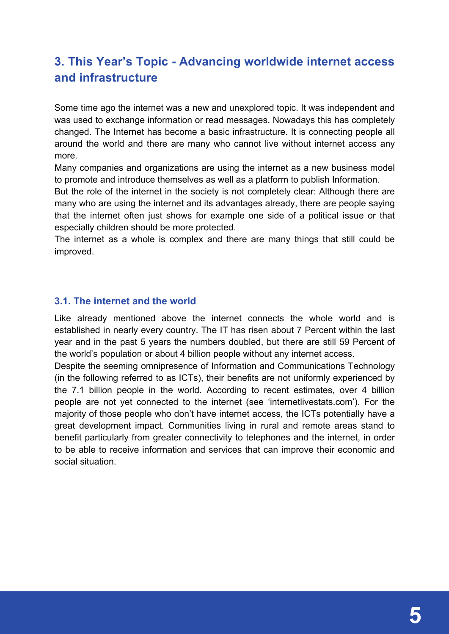## **3. This Year's Topic - Advancing worldwide internet access and infrastructure**

Some time ago the internet was a new and unexplored topic. It was independent and was used to exchange information or read messages. Nowadays this has completely changed. The Internet has become a basic infrastructure. It is connecting people all around the world and there are many who cannot live without internet access any more.

Many companies and organizations are using the internet as a new business model to promote and introduce themselves as well as a platform to publish Information.

But the role of the internet in the society is not completely clear: Although there are many who are using the internet and its advantages already, there are people saying that the internet often just shows for example one side of a political issue or that especially children should be more protected.

The internet as a whole is complex and there are many things that still could be improved.

#### **3.1. The internet and the world**

Like already mentioned above the internet connects the whole world and is established in nearly every country. The IT has risen about 7 Percent within the last year and in the past 5 years the numbers doubled, but there are still 59 Percent of the world's population or about 4 billion people without any internet access.

Despite the seeming omnipresence of Information and Communications Technology (in the following referred to as ICTs), their benefits are not uniformly experienced by the 7.1 billion people in the world. According to recent estimates, over 4 billion people are not yet connected to the internet (see 'internetlivestats.com'). For the majority of those people who don't have internet access, the ICTs potentially have a great development impact. Communities living in rural and remote areas stand to benefit particularly from greater connectivity to telephones and the internet, in order to be able to receive information and services that can improve their economic and social situation.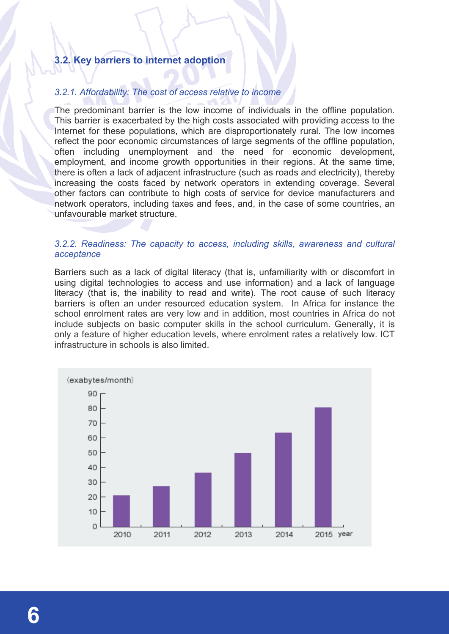#### **3.2. Key barriers to internet adoption**

#### *3.2.1. Affordability: The cost of access relative to income*

The predominant barrier is the low income of individuals in the offline population. This barrier is exacerbated by the high costs associated with providing access to the Internet for these populations, which are disproportionately rural. The low incomes reflect the poor economic circumstances of large segments of the offline population, often including unemployment and the need for economic development, employment, and income growth opportunities in their regions. At the same time, there is often a lack of adjacent infrastructure (such as roads and electricity), thereby increasing the costs faced by network operators in extending coverage. Several other factors can contribute to high costs of service for device manufacturers and network operators, including taxes and fees, and, in the case of some countries, an unfavourable market structure.

#### *3.2.2. Readiness: The capacity to access, including skills, awareness and cultural acceptance*

Barriers such as a lack of digital literacy (that is, unfamiliarity with or discomfort in using digital technologies to access and use information) and a lack of language literacy (that is, the inability to read and write). The root cause of such literacy barriers is often an under resourced education system. In Africa for instance the school enrolment rates are very low and in addition, most countries in Africa do not include subjects on basic computer skills in the school curriculum. Generally, it is only a feature of higher education levels, where enrolment rates a relatively low. ICT infrastructure in schools is also limited.

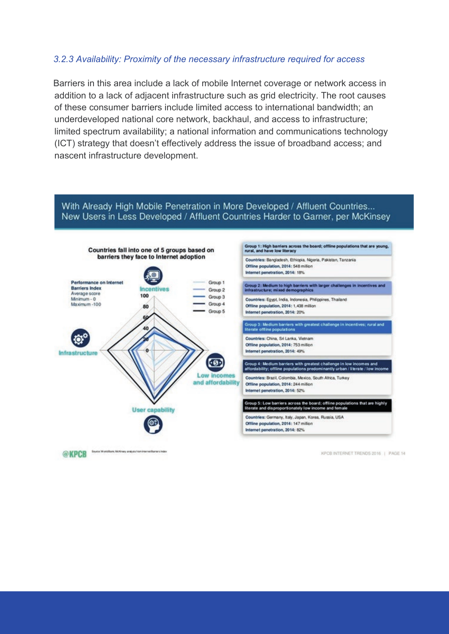#### *3.2.3 Availability: Proximity of the necessary infrastructure required for access*

Barriers in this area include a lack of mobile Internet coverage or network access in addition to a lack of adjacent infrastructure such as grid electricity. The root causes of these consumer barriers include limited access to international bandwidth; an underdeveloped national core network, backhaul, and access to infrastructure; limited spectrum availability; a national information and communications technology (ICT) strategy that doesn't effectively address the issue of broadband access; and nascent infrastructure development.

#### With Already High Mobile Penetration in More Developed / Affluent Countries... New Users in Less Developed / Affluent Countries Harder to Garner, per McKinsey

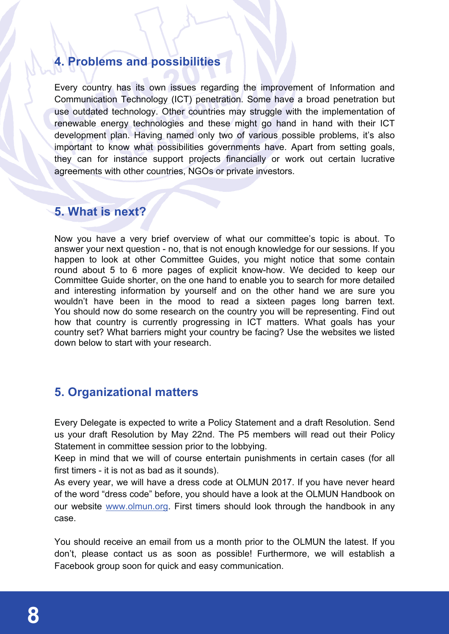## **4. Problems and possibilities**

Every country has its own issues regarding the improvement of Information and Communication Technology (ICT) penetration. Some have a broad penetration but use outdated technology. Other countries may struggle with the implementation of renewable energy technologies and these might go hand in hand with their ICT development plan. Having named only two of various possible problems, it's also important to know what possibilities governments have. Apart from setting goals, they can for instance support projects financially or work out certain lucrative agreements with other countries, NGOs or private investors.

## **5. What is next?**

Now you have a very brief overview of what our committee's topic is about. To answer your next question - no, that is not enough knowledge for our sessions. If you happen to look at other Committee Guides, you might notice that some contain round about 5 to 6 more pages of explicit know-how. We decided to keep our Committee Guide shorter, on the one hand to enable you to search for more detailed and interesting information by yourself and on the other hand we are sure you wouldn't have been in the mood to read a sixteen pages long barren text. You should now do some research on the country you will be representing. Find out how that country is currently progressing in ICT matters. What goals has your country set? What barriers might your country be facing? Use the websites we listed down below to start with your research.

## **5. Organizational matters**

Every Delegate is expected to write a Policy Statement and a draft Resolution. Send us your draft Resolution by May 22nd. The P5 members will read out their Policy Statement in committee session prior to the lobbying.

Keep in mind that we will of course entertain punishments in certain cases (for all first timers - it is not as bad as it sounds).

As every year, we will have a dress code at OLMUN 2017. If you have never heard of the word "dress code" before, you should have a look at the OLMUN Handbook on our website www.olmun.org. First timers should look through the handbook in any case.

You should receive an email from us a month prior to the OLMUN the latest. If you don't, please contact us as soon as possible! Furthermore, we will establish a Facebook group soon for quick and easy communication.